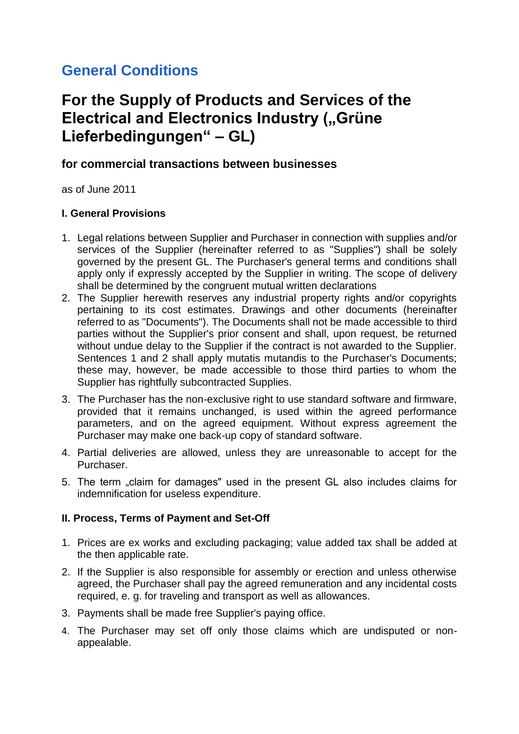# **General Conditions**

# **For the Supply of Products and Services of the Electrical and Electronics Industry ("Grüne Lieferbedingungen" – GL)**

## **for commercial transactions between businesses**

as of June 2011

#### **I. General Provisions**

- 1. Legal relations between Supplier and Purchaser in connection with supplies and/or services of the Supplier (hereinafter referred to as "Supplies") shall be solely governed by the present GL. The Purchaser's general terms and conditions shall apply only if expressly accepted by the Supplier in writing. The scope of delivery shall be determined by the congruent mutual written declarations
- 2. The Supplier herewith reserves any industrial property rights and/or copyrights pertaining to its cost estimates. Drawings and other documents (hereinafter referred to as "Documents"). The Documents shall not be made accessible to third parties without the Supplier's prior consent and shall, upon request, be returned without undue delay to the Supplier if the contract is not awarded to the Supplier. Sentences 1 and 2 shall apply mutatis mutandis to the Purchaser's Documents; these may, however, be made accessible to those third parties to whom the Supplier has rightfully subcontracted Supplies.
- 3. The Purchaser has the non-exclusive right to use standard software and firmware, provided that it remains unchanged, is used within the agreed performance parameters, and on the agreed equipment. Without express agreement the Purchaser may make one back-up copy of standard software.
- 4. Partial deliveries are allowed, unless they are unreasonable to accept for the Purchaser.
- 5. The term "claim for damages" used in the present GL also includes claims for indemnification for useless expenditure.

## **II. Process, Terms of Payment and Set-Off**

- 1. Prices are ex works and excluding packaging; value added tax shall be added at the then applicable rate.
- 2. If the Supplier is also responsible for assembly or erection and unless otherwise agreed, the Purchaser shall pay the agreed remuneration and any incidental costs required, e. g. for traveling and transport as well as allowances.
- 3. Payments shall be made free Supplier's paying office.
- 4. The Purchaser may set off only those claims which are undisputed or nonappealable.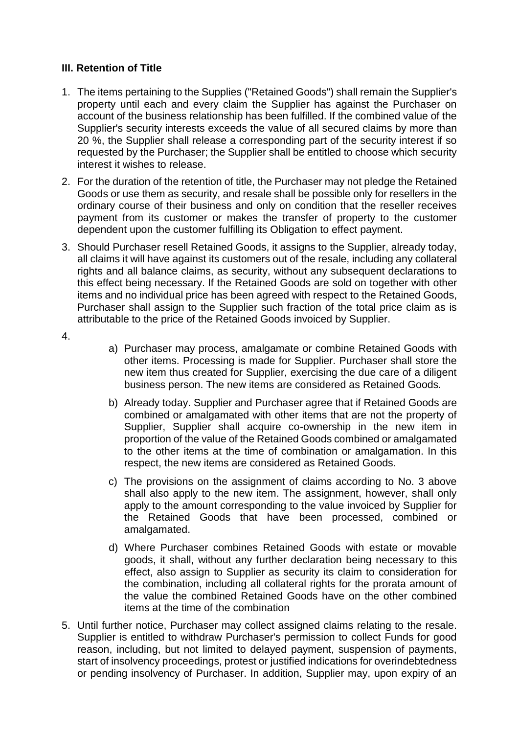## **III. Retention of Title**

- 1. The items pertaining to the Supplies ("Retained Goods") shall remain the Supplier's property until each and every claim the Supplier has against the Purchaser on account of the business relationship has been fulfilled. If the combined value of the Supplier's security interests exceeds the value of all secured claims by more than 20 %, the Supplier shall release a corresponding part of the security interest if so requested by the Purchaser; the Supplier shall be entitled to choose which security interest it wishes to release.
- 2. For the duration of the retention of title, the Purchaser may not pledge the Retained Goods or use them as security, and resale shall be possible only for resellers in the ordinary course of their business and only on condition that the reseller receives payment from its customer or makes the transfer of property to the customer dependent upon the customer fulfilling its Obligation to effect payment.
- 3. Should Purchaser resell Retained Goods, it assigns to the Supplier, already today, all claims it will have against its customers out of the resale, including any collateral rights and all balance claims, as security, without any subsequent declarations to this effect being necessary. lf the Retained Goods are sold on together with other items and no individual price has been agreed with respect to the Retained Goods, Purchaser shall assign to the Supplier such fraction of the total price claim as is attributable to the price of the Retained Goods invoiced by Supplier.
- 4.
- a) Purchaser may process, amalgamate or combine Retained Goods with other items. Processing is made for Supplier. Purchaser shall store the new item thus created for Supplier, exercising the due care of a diligent business person. The new items are considered as Retained Goods.
- b) Already today. Supplier and Purchaser agree that if Retained Goods are combined or amalgamated with other items that are not the property of Supplier, Supplier shall acquire co-ownership in the new item in proportion of the value of the Retained Goods combined or amalgamated to the other items at the time of combination or amalgamation. In this respect, the new items are considered as Retained Goods.
- c) The provisions on the assignment of claims according to No. 3 above shall also apply to the new item. The assignment, however, shall only apply to the amount corresponding to the value invoiced by Supplier for the Retained Goods that have been processed, combined or amalgamated.
- d) Where Purchaser combines Retained Goods with estate or movable goods, it shall, without any further declaration being necessary to this effect, also assign to Supplier as security its claim to consideration for the combination, including all collateral rights for the prorata amount of the value the combined Retained Goods have on the other combined items at the time of the combination
- 5. Until further notice, Purchaser may collect assigned claims relating to the resale. Supplier is entitled to withdraw Purchaser's permission to collect Funds for good reason, including, but not limited to delayed payment, suspension of payments, start of insolvency proceedings, protest or justified indications for overindebtedness or pending insolvency of Purchaser. In addition, Supplier may, upon expiry of an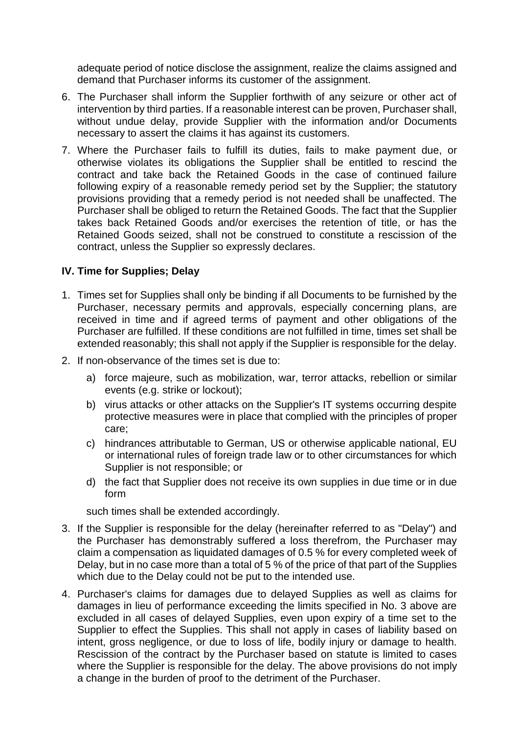adequate period of notice disclose the assignment, realize the claims assigned and demand that Purchaser informs its customer of the assignment.

- 6. The Purchaser shall inform the Supplier forthwith of any seizure or other act of intervention by third parties. If a reasonable interest can be proven, Purchaser shall, without undue delay, provide Supplier with the information and/or Documents necessary to assert the claims it has against its customers.
- 7. Where the Purchaser fails to fulfill its duties, fails to make payment due, or otherwise violates its obligations the Supplier shall be entitled to rescind the contract and take back the Retained Goods in the case of continued failure following expiry of a reasonable remedy period set by the Supplier; the statutory provisions providing that a remedy period is not needed shall be unaffected. The Purchaser shall be obliged to return the Retained Goods. The fact that the Supplier takes back Retained Goods and/or exercises the retention of title, or has the Retained Goods seized, shall not be construed to constitute a rescission of the contract, unless the Supplier so expressly declares.

#### **IV. Time for Supplies; Delay**

- 1. Times set for Supplies shall only be binding if all Documents to be furnished by the Purchaser, necessary permits and approvals, especially concerning plans, are received in time and if agreed terms of payment and other obligations of the Purchaser are fulfilled. If these conditions are not fulfilled in time, times set shall be extended reasonably; this shall not apply if the Supplier is responsible for the delay.
- 2. If non-observance of the times set is due to:
	- a) force majeure, such as mobilization, war, terror attacks, rebellion or similar events (e.g. strike or lockout);
	- b) virus attacks or other attacks on the Supplier's IT systems occurring despite protective measures were in place that complied with the principles of proper care;
	- c) hindrances attributable to German, US or otherwise applicable national, EU or international rules of foreign trade law or to other circumstances for which Supplier is not responsible; or
	- d) the fact that Supplier does not receive its own supplies in due time or in due form

such times shall be extended accordingly.

- 3. If the Supplier is responsible for the delay (hereinafter referred to as "Delay") and the Purchaser has demonstrably suffered a loss therefrom, the Purchaser may claim a compensation as liquidated damages of 0.5 % for every completed week of Delay, but in no case more than a total of 5 % of the price of that part of the Supplies which due to the Delay could not be put to the intended use.
- 4. Purchaser's claims for damages due to delayed Supplies as well as claims for damages in lieu of performance exceeding the limits specified in No. 3 above are excluded in all cases of delayed Supplies, even upon expiry of a time set to the Supplier to effect the Supplies. This shall not apply in cases of liability based on intent, gross negligence, or due to loss of life, bodily injury or damage to health. Rescission of the contract by the Purchaser based on statute is limited to cases where the Supplier is responsible for the delay. The above provisions do not imply a change in the burden of proof to the detriment of the Purchaser.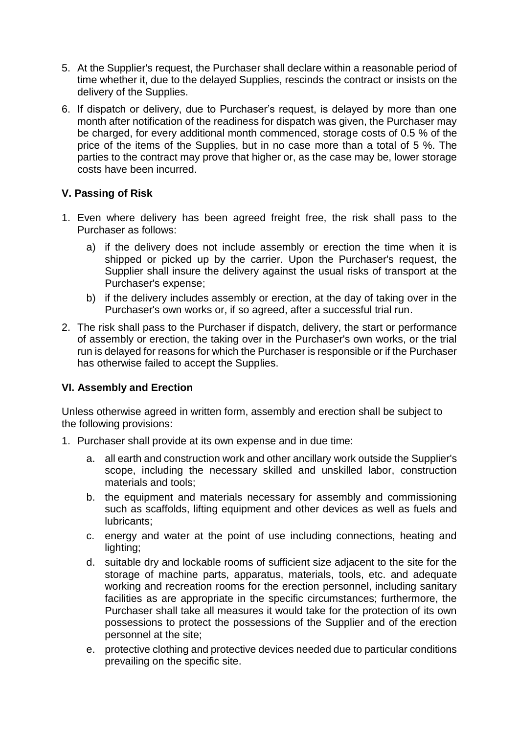- 5. At the Supplier's request, the Purchaser shall declare within a reasonable period of time whether it, due to the delayed Supplies, rescinds the contract or insists on the delivery of the Supplies.
- 6. If dispatch or delivery, due to Purchaser's request, is delayed by more than one month after notification of the readiness for dispatch was given, the Purchaser may be charged, for every additional month commenced, storage costs of 0.5 % of the price of the items of the Supplies, but in no case more than a total of 5 %. The parties to the contract may prove that higher or, as the case may be, lower storage costs have been incurred.

## **V. Passing of Risk**

- 1. Even where delivery has been agreed freight free, the risk shall pass to the Purchaser as follows:
	- a) if the delivery does not include assembly or erection the time when it is shipped or picked up by the carrier. Upon the Purchaser's request, the Supplier shall insure the delivery against the usual risks of transport at the Purchaser's expense;
	- b) if the delivery includes assembly or erection, at the day of taking over in the Purchaser's own works or, if so agreed, after a successful trial run.
- 2. The risk shall pass to the Purchaser if dispatch, delivery, the start or performance of assembly or erection, the taking over in the Purchaser's own works, or the trial run is delayed for reasons for which the Purchaser is responsible or if the Purchaser has otherwise failed to accept the Supplies.

## **VI. Assembly and Erection**

Unless otherwise agreed in written form, assembly and erection shall be subject to the following provisions:

- 1. Purchaser shall provide at its own expense and in due time:
	- a. all earth and construction work and other ancillary work outside the Supplier's scope, including the necessary skilled and unskilled labor, construction materials and tools;
	- b. the equipment and materials necessary for assembly and commissioning such as scaffolds, lifting equipment and other devices as well as fuels and lubricants;
	- c. energy and water at the point of use including connections, heating and lighting;
	- d. suitable dry and lockable rooms of sufficient size adjacent to the site for the storage of machine parts, apparatus, materials, tools, etc. and adequate working and recreation rooms for the erection personnel, including sanitary facilities as are appropriate in the specific circumstances; furthermore, the Purchaser shall take all measures it would take for the protection of its own possessions to protect the possessions of the Supplier and of the erection personnel at the site;
	- e. protective clothing and protective devices needed due to particular conditions prevailing on the specific site.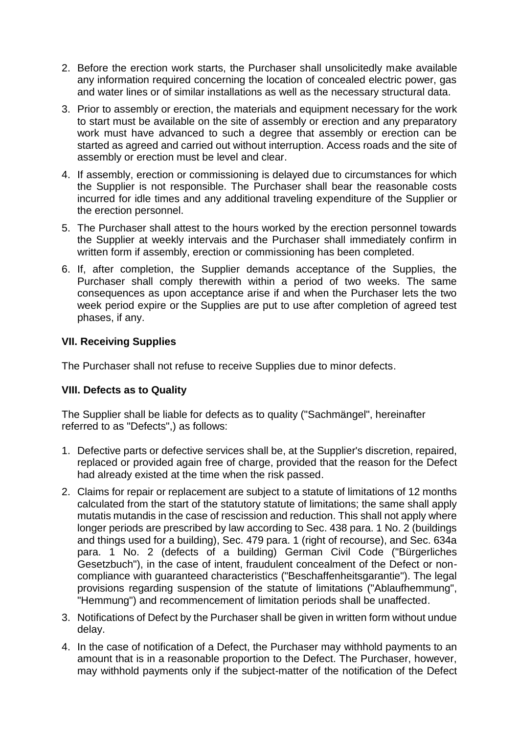- 2. Before the erection work starts, the Purchaser shall unsolicitedly make available any information required concerning the location of concealed electric power, gas and water lines or of similar installations as well as the necessary structural data.
- 3. Prior to assembly or erection, the materials and equipment necessary for the work to start must be available on the site of assembly or erection and any preparatory work must have advanced to such a degree that assembly or erection can be started as agreed and carried out without interruption. Access roads and the site of assembly or erection must be level and clear.
- 4. If assembly, erection or commissioning is delayed due to circumstances for which the Supplier is not responsible. The Purchaser shall bear the reasonable costs incurred for idle times and any additional traveling expenditure of the Supplier or the erection personnel.
- 5. The Purchaser shall attest to the hours worked by the erection personnel towards the Supplier at weekly intervais and the Purchaser shall immediately confirm in written form if assembly, erection or commissioning has been completed.
- 6. If, after completion, the Supplier demands acceptance of the Supplies, the Purchaser shall comply therewith within a period of two weeks. The same consequences as upon acceptance arise if and when the Purchaser lets the two week period expire or the Supplies are put to use after completion of agreed test phases, if any.

## **VII. Receiving Supplies**

The Purchaser shall not refuse to receive Supplies due to minor defects.

## **VIII. Defects as to Quality**

The Supplier shall be liable for defects as to quality ("Sachmängel", hereinafter referred to as "Defects",) as follows:

- 1. Defective parts or defective services shall be, at the Supplier's discretion, repaired, replaced or provided again free of charge, provided that the reason for the Defect had already existed at the time when the risk passed.
- 2. Claims for repair or replacement are subject to a statute of limitations of 12 months calculated from the start of the statutory statute of limitations; the same shall apply mutatis mutandis in the case of rescission and reduction. This shall not apply where longer periods are prescribed by law according to Sec. 438 para. 1 No. 2 (buildings and things used for a building), Sec. 479 para. 1 (right of recourse), and Sec. 634a para. 1 No. 2 (defects of a building) German Civil Code ("Bürgerliches Gesetzbuch"), in the case of intent, fraudulent concealment of the Defect or noncompliance with guaranteed characteristics ("Beschaffenheitsgarantie"). The legal provisions regarding suspension of the statute of limitations ("Ablaufhemmung", "Hemmung") and recommencement of limitation periods shall be unaffected.
- 3. Notifications of Defect by the Purchaser shall be given in written form without undue delay.
- 4. In the case of notification of a Defect, the Purchaser may withhold payments to an amount that is in a reasonable proportion to the Defect. The Purchaser, however, may withhold payments only if the subject-matter of the notification of the Defect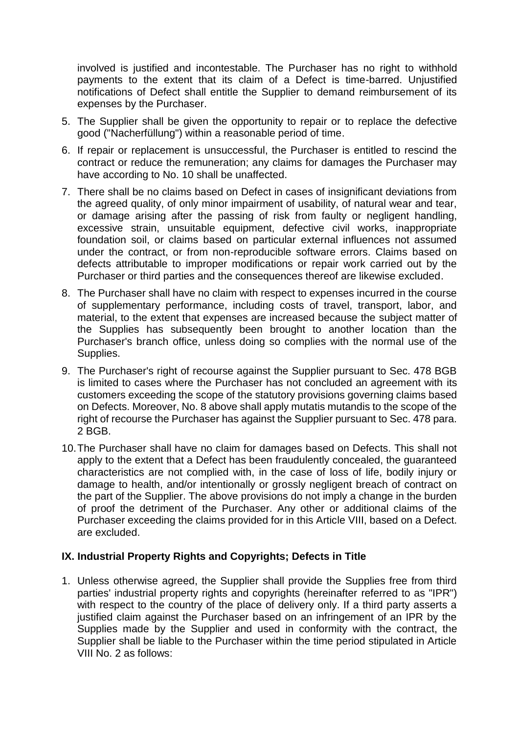involved is justified and incontestable. The Purchaser has no right to withhold payments to the extent that its claim of a Defect is time-barred. Unjustified notifications of Defect shall entitle the Supplier to demand reimbursement of its expenses by the Purchaser.

- 5. The Supplier shall be given the opportunity to repair or to replace the defective good ("Nacherfüllung") within a reasonable period of time.
- 6. If repair or replacement is unsuccessful, the Purchaser is entitled to rescind the contract or reduce the remuneration; any claims for damages the Purchaser may have according to No. 10 shall be unaffected.
- 7. There shall be no claims based on Defect in cases of insignificant deviations from the agreed quality, of only minor impairment of usability, of natural wear and tear, or damage arising after the passing of risk from faulty or negligent handling, excessive strain, unsuitable equipment, defective civil works, inappropriate foundation soil, or claims based on particular external influences not assumed under the contract, or from non-reproducible software errors. Claims based on defects attributable to improper modifications or repair work carried out by the Purchaser or third parties and the consequences thereof are likewise excluded.
- 8. The Purchaser shall have no claim with respect to expenses incurred in the course of supplementary performance, including costs of travel, transport, labor, and material, to the extent that expenses are increased because the subject matter of the Supplies has subsequently been brought to another location than the Purchaser's branch office, unless doing so complies with the normal use of the Supplies.
- 9. The Purchaser's right of recourse against the Supplier pursuant to Sec. 478 BGB is limited to cases where the Purchaser has not concluded an agreement with its customers exceeding the scope of the statutory provisions governing claims based on Defects. Moreover, No. 8 above shall apply mutatis mutandis to the scope of the right of recourse the Purchaser has against the Supplier pursuant to Sec. 478 para. 2 BGB.
- 10.The Purchaser shall have no claim for damages based on Defects. This shall not apply to the extent that a Defect has been fraudulently concealed, the guaranteed characteristics are not complied with, in the case of loss of life, bodily injury or damage to health, and/or intentionally or grossly negligent breach of contract on the part of the Supplier. The above provisions do not imply a change in the burden of proof the detriment of the Purchaser. Any other or additional claims of the Purchaser exceeding the claims provided for in this Article VIII, based on a Defect. are excluded.

#### **IX. Industrial Property Rights and Copyrights; Defects in Title**

1. Unless otherwise agreed, the Supplier shall provide the Supplies free from third parties' industrial property rights and copyrights (hereinafter referred to as "IPR") with respect to the country of the place of delivery only. If a third party asserts a justified claim against the Purchaser based on an infringement of an IPR by the Supplies made by the Supplier and used in conformity with the contract, the Supplier shall be liable to the Purchaser within the time period stipulated in Article VIII No. 2 as follows: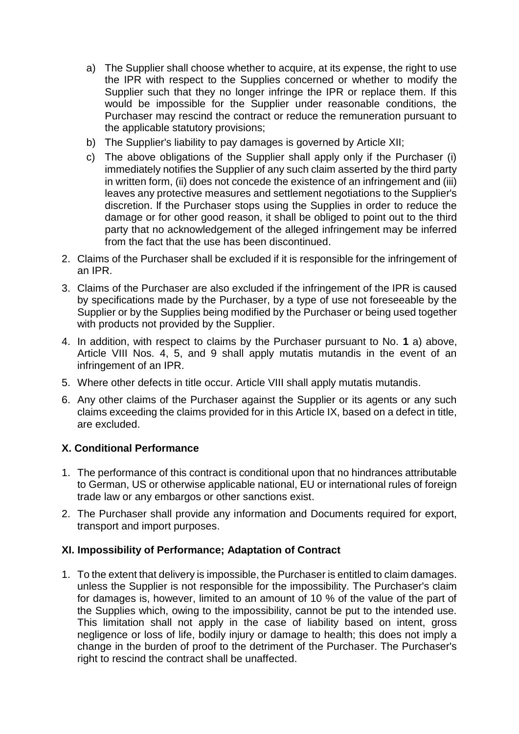- a) The Supplier shall choose whether to acquire, at its expense, the right to use the IPR with respect to the Supplies concerned or whether to modify the Supplier such that they no longer infringe the IPR or replace them. If this would be impossible for the Supplier under reasonable conditions, the Purchaser may rescind the contract or reduce the remuneration pursuant to the applicable statutory provisions;
- b) The Supplier's liability to pay damages is governed by Article XII;
- c) The above obligations of the Supplier shall apply only if the Purchaser (i) immediately notifies the Supplier of any such claim asserted by the third party in written form, (ii) does not concede the existence of an infringement and (iii) leaves any protective measures and settlement negotiations to the Supplier's discretion. lf the Purchaser stops using the Supplies in order to reduce the damage or for other good reason, it shall be obliged to point out to the third party that no acknowledgement of the alleged infringement may be inferred from the fact that the use has been discontinued.
- 2. Claims of the Purchaser shall be excluded if it is responsible for the infringement of an IPR.
- 3. Claims of the Purchaser are also excluded if the infringement of the IPR is caused by specifications made by the Purchaser, by a type of use not foreseeable by the Supplier or by the Supplies being modified by the Purchaser or being used together with products not provided by the Supplier.
- 4. In addition, with respect to claims by the Purchaser pursuant to No. **1** a) above, Article VIII Nos. 4, 5, and 9 shall apply mutatis mutandis in the event of an infringement of an IPR.
- 5. Where other defects in title occur. Article VIII shall apply mutatis mutandis.
- 6. Any other claims of the Purchaser against the Supplier or its agents or any such claims exceeding the claims provided for in this Article IX, based on a defect in title, are excluded.

## **X. Conditional Performance**

- 1. The performance of this contract is conditional upon that no hindrances attributable to German, US or otherwise applicable national, EU or international rules of foreign trade law or any embargos or other sanctions exist.
- 2. The Purchaser shall provide any information and Documents required for export, transport and import purposes.

#### **XI. Impossibility of Performance; Adaptation of Contract**

1. To the extent that delivery is impossible, the Purchaser is entitled to claim damages. unless the Supplier is not responsible for the impossibility. The Purchaser's claim for damages is, however, limited to an amount of 10 % of the value of the part of the Supplies which, owing to the impossibility, cannot be put to the intended use. This limitation shall not apply in the case of liability based on intent, gross negligence or loss of life, bodily injury or damage to health; this does not imply a change in the burden of proof to the detriment of the Purchaser. The Purchaser's right to rescind the contract shall be unaffected.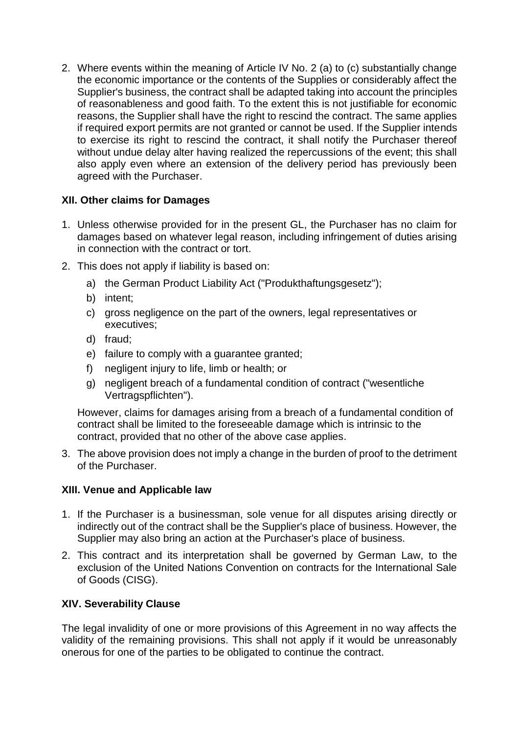2. Where events within the meaning of Article IV No. 2 (a) to (c) substantially change the economic importance or the contents of the Supplies or considerably affect the Supplier's business, the contract shall be adapted taking into account the principles of reasonableness and good faith. To the extent this is not justifiable for economic reasons, the Supplier shall have the right to rescind the contract. The same applies if required export permits are not granted or cannot be used. If the Supplier intends to exercise its right to rescind the contract, it shall notify the Purchaser thereof without undue delay alter having realized the repercussions of the event; this shall also apply even where an extension of the delivery period has previously been agreed with the Purchaser.

#### **XII. Other claims for Damages**

- 1. Unless otherwise provided for in the present GL, the Purchaser has no claim for damages based on whatever legal reason, including infringement of duties arising in connection with the contract or tort.
- 2. This does not apply if liability is based on:
	- a) the German Product Liability Act ("Produkthaftungsgesetz");
	- b) intent;
	- c) gross negligence on the part of the owners, legal representatives or executives;
	- d) fraud;
	- e) failure to comply with a guarantee granted;
	- f) negligent injury to life, limb or health; or
	- g) negligent breach of a fundamental condition of contract ("wesentliche Vertragspflichten").

However, claims for damages arising from a breach of a fundamental condition of contract shall be limited to the foreseeable damage which is intrinsic to the contract, provided that no other of the above case applies.

3. The above provision does not imply a change in the burden of proof to the detriment of the Purchaser.

## **XIII. Venue and Applicable law**

- 1. If the Purchaser is a businessman, sole venue for all disputes arising directly or indirectly out of the contract shall be the Supplier's place of business. However, the Supplier may also bring an action at the Purchaser's place of business.
- 2. This contract and its interpretation shall be governed by German Law, to the exclusion of the United Nations Convention on contracts for the International Sale of Goods (CISG).

#### **XIV. Severability Clause**

The legal invalidity of one or more provisions of this Agreement in no way affects the validity of the remaining provisions. This shall not apply if it would be unreasonably onerous for one of the parties to be obligated to continue the contract.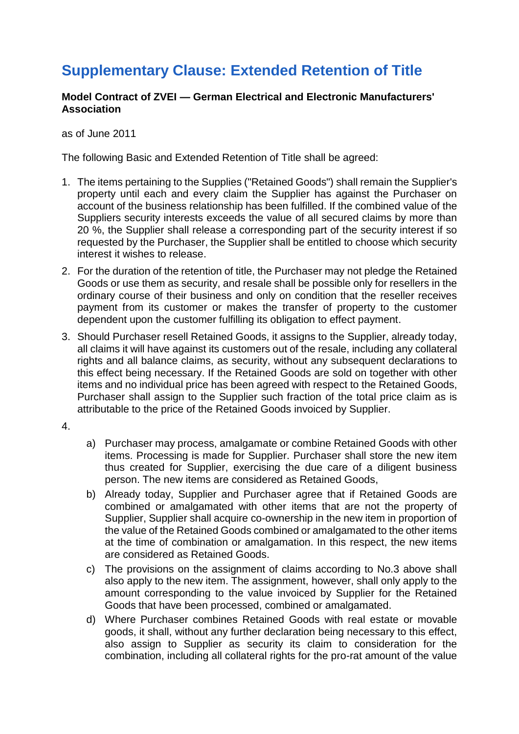# **Supplementary Clause: Extended Retention of Title**

#### **Model Contract of ZVEI — German Electrical and Electronic Manufacturers' Association**

as of June 2011

The following Basic and Extended Retention of Title shall be agreed:

- 1. The items pertaining to the Supplies ("Retained Goods") shall remain the Supplier's property until each and every claim the Supplier has against the Purchaser on account of the business relationship has been fulfilled. If the combined value of the Suppliers security interests exceeds the value of all secured claims by more than 20 %, the Supplier shall release a corresponding part of the security interest if so requested by the Purchaser, the Supplier shall be entitled to choose which security interest it wishes to release.
- 2. For the duration of the retention of title, the Purchaser may not pledge the Retained Goods or use them as security, and resale shall be possible only for resellers in the ordinary course of their business and only on condition that the reseller receives payment from its customer or makes the transfer of property to the customer dependent upon the customer fulfilling its obligation to effect payment.
- 3. Should Purchaser resell Retained Goods, it assigns to the Supplier, already today, all claims it will have against its customers out of the resale, including any collateral rights and all balance claims, as security, without any subsequent declarations to this effect being necessary. If the Retained Goods are sold on together with other items and no individual price has been agreed with respect to the Retained Goods, Purchaser shall assign to the Supplier such fraction of the total price claim as is attributable to the price of the Retained Goods invoiced by Supplier.
- 4.
- a) Purchaser may process, amalgamate or combine Retained Goods with other items. Processing is made for Supplier. Purchaser shall store the new item thus created for Supplier, exercising the due care of a diligent business person. The new items are considered as Retained Goods,
- b) Already today, Supplier and Purchaser agree that if Retained Goods are combined or amalgamated with other items that are not the property of Supplier, Supplier shall acquire co-ownership in the new item in proportion of the value of the Retained Goods combined or amalgamated to the other items at the time of combination or amalgamation. In this respect, the new items are considered as Retained Goods.
- c) The provisions on the assignment of claims according to No.3 above shall also apply to the new item. The assignment, however, shall only apply to the amount corresponding to the value invoiced by Supplier for the Retained Goods that have been processed, combined or amalgamated.
- d) Where Purchaser combines Retained Goods with real estate or movable goods, it shall, without any further declaration being necessary to this effect, also assign to Supplier as security its claim to consideration for the combination, including all collateral rights for the pro-rat amount of the value